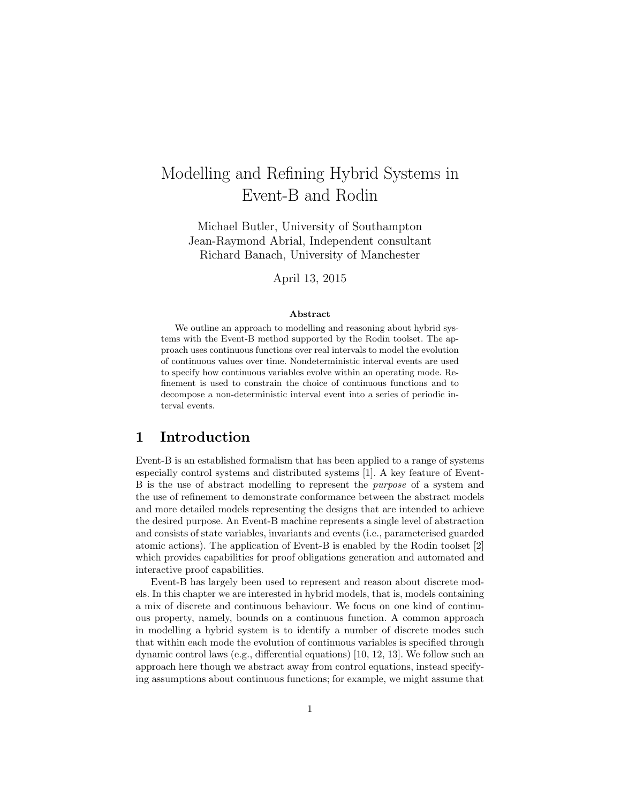# Modelling and Refining Hybrid Systems in Event-B and Rodin

Michael Butler, University of Southampton Jean-Raymond Abrial, Independent consultant Richard Banach, University of Manchester

April 13, 2015

#### Abstract

We outline an approach to modelling and reasoning about hybrid systems with the Event-B method supported by the Rodin toolset. The approach uses continuous functions over real intervals to model the evolution of continuous values over time. Nondeterministic interval events are used to specify how continuous variables evolve within an operating mode. Refinement is used to constrain the choice of continuous functions and to decompose a non-deterministic interval event into a series of periodic interval events.

### 1 Introduction

Event-B is an established formalism that has been applied to a range of systems especially control systems and distributed systems [1]. A key feature of Event-B is the use of abstract modelling to represent the purpose of a system and the use of refinement to demonstrate conformance between the abstract models and more detailed models representing the designs that are intended to achieve the desired purpose. An Event-B machine represents a single level of abstraction and consists of state variables, invariants and events (i.e., parameterised guarded atomic actions). The application of Event-B is enabled by the Rodin toolset [2] which provides capabilities for proof obligations generation and automated and interactive proof capabilities.

Event-B has largely been used to represent and reason about discrete models. In this chapter we are interested in hybrid models, that is, models containing a mix of discrete and continuous behaviour. We focus on one kind of continuous property, namely, bounds on a continuous function. A common approach in modelling a hybrid system is to identify a number of discrete modes such that within each mode the evolution of continuous variables is specified through dynamic control laws (e.g., differential equations) [10, 12, 13]. We follow such an approach here though we abstract away from control equations, instead specifying assumptions about continuous functions; for example, we might assume that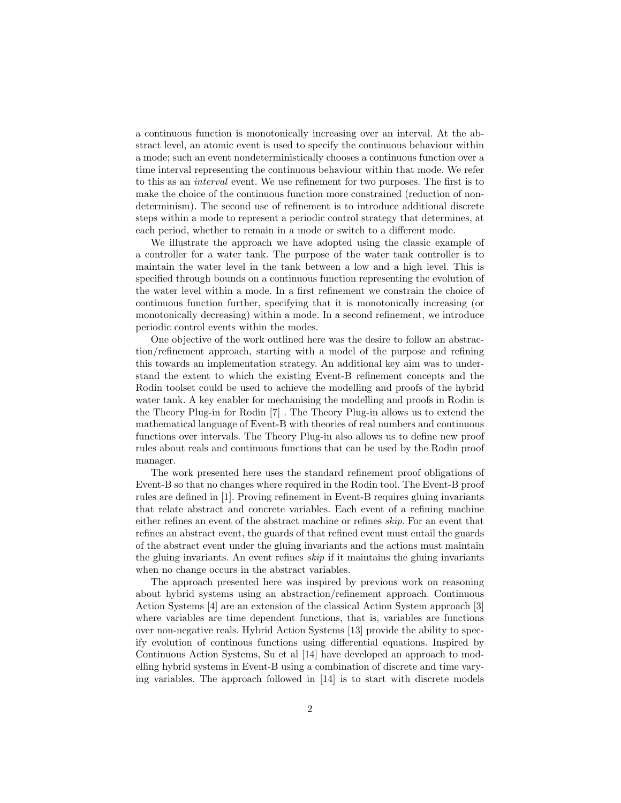a continuous function is monotonically increasing over an interval. At the abstract level, an atomic event is used to specify the continuous behaviour within a mode; such an event nondeterministically chooses a continuous function over a time interval representing the continuous behaviour within that mode. We refer to this as an interval event. We use refinement for two purposes. The first is to make the choice of the continuous function more constrained (reduction of nondeterminism). The second use of refinement is to introduce additional discrete steps within a mode to represent a periodic control strategy that determines, at each period, whether to remain in a mode or switch to a different mode.

We illustrate the approach we have adopted using the classic example of a controller for a water tank. The purpose of the water tank controller is to maintain the water level in the tank between a low and a high level. This is specified through bounds on a continuous function representing the evolution of the water level within a mode. In a first refinement we constrain the choice of continuous function further, specifying that it is monotonically increasing (or monotonically decreasing) within a mode. In a second refinement, we introduce periodic control events within the modes.

One objective of the work outlined here was the desire to follow an abstraction/refinement approach, starting with a model of the purpose and refining this towards an implementation strategy. An additional key aim was to understand the extent to which the existing Event-B refinement concepts and the Rodin toolset could be used to achieve the modelling and proofs of the hybrid water tank. A key enabler for mechanising the modelling and proofs in Rodin is the Theory Plug-in for Rodin [7] . The Theory Plug-in allows us to extend the mathematical language of Event-B with theories of real numbers and continuous functions over intervals. The Theory Plug-in also allows us to define new proof rules about reals and continuous functions that can be used by the Rodin proof manager.

The work presented here uses the standard refinement proof obligations of Event-B so that no changes where required in the Rodin tool. The Event-B proof rules are defined in [1]. Proving refinement in Event-B requires gluing invariants that relate abstract and concrete variables. Each event of a refining machine either refines an event of the abstract machine or refines skip. For an event that refines an abstract event, the guards of that refined event must entail the guards of the abstract event under the gluing invariants and the actions must maintain the gluing invariants. An event refines skip if it maintains the gluing invariants when no change occurs in the abstract variables.

The approach presented here was inspired by previous work on reasoning about hybrid systems using an abstraction/refinement approach. Continuous Action Systems [4] are an extension of the classical Action System approach [3] where variables are time dependent functions, that is, variables are functions over non-negative reals. Hybrid Action Systems [13] provide the ability to specify evolution of continous functions using differential equations. Inspired by Continuous Action Systems, Su et al [14] have developed an approach to modelling hybrid systems in Event-B using a combination of discrete and time varying variables. The approach followed in [14] is to start with discrete models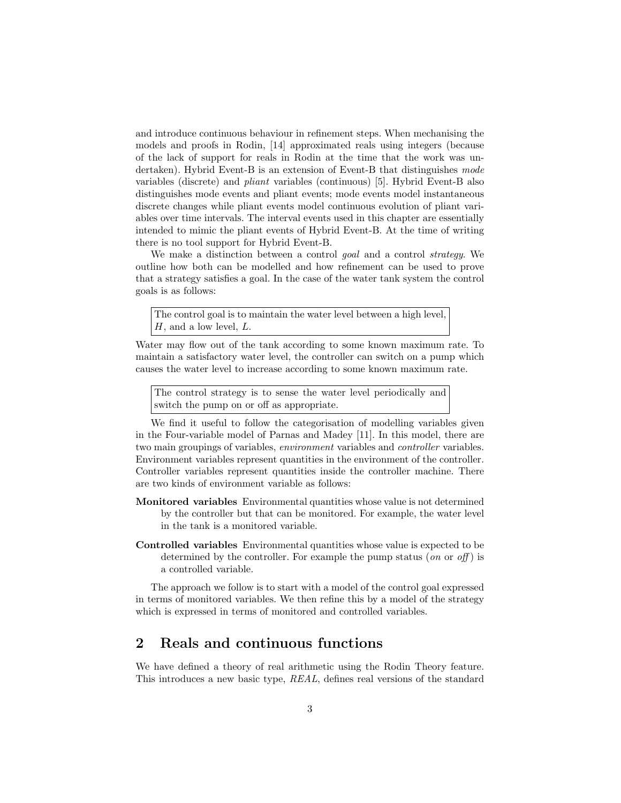and introduce continuous behaviour in refinement steps. When mechanising the models and proofs in Rodin, [14] approximated reals using integers (because of the lack of support for reals in Rodin at the time that the work was undertaken). Hybrid Event-B is an extension of Event-B that distinguishes mode variables (discrete) and pliant variables (continuous) [5]. Hybrid Event-B also distinguishes mode events and pliant events; mode events model instantaneous discrete changes while pliant events model continuous evolution of pliant variables over time intervals. The interval events used in this chapter are essentially intended to mimic the pliant events of Hybrid Event-B. At the time of writing there is no tool support for Hybrid Event-B.

We make a distinction between a control *goal* and a control *strategy*. We outline how both can be modelled and how refinement can be used to prove that a strategy satisfies a goal. In the case of the water tank system the control goals is as follows:

The control goal is to maintain the water level between a high level, H, and a low level, L.

Water may flow out of the tank according to some known maximum rate. To maintain a satisfactory water level, the controller can switch on a pump which causes the water level to increase according to some known maximum rate.

The control strategy is to sense the water level periodically and switch the pump on or off as appropriate.

We find it useful to follow the categorisation of modelling variables given in the Four-variable model of Parnas and Madey [11]. In this model, there are two main groupings of variables, environment variables and controller variables. Environment variables represent quantities in the environment of the controller. Controller variables represent quantities inside the controller machine. There are two kinds of environment variable as follows:

- Monitored variables Environmental quantities whose value is not determined by the controller but that can be monitored. For example, the water level in the tank is a monitored variable.
- Controlled variables Environmental quantities whose value is expected to be determined by the controller. For example the pump status (*on* or *off*) is a controlled variable.

The approach we follow is to start with a model of the control goal expressed in terms of monitored variables. We then refine this by a model of the strategy which is expressed in terms of monitored and controlled variables.

# 2 Reals and continuous functions

We have defined a theory of real arithmetic using the Rodin Theory feature. This introduces a new basic type, REAL, defines real versions of the standard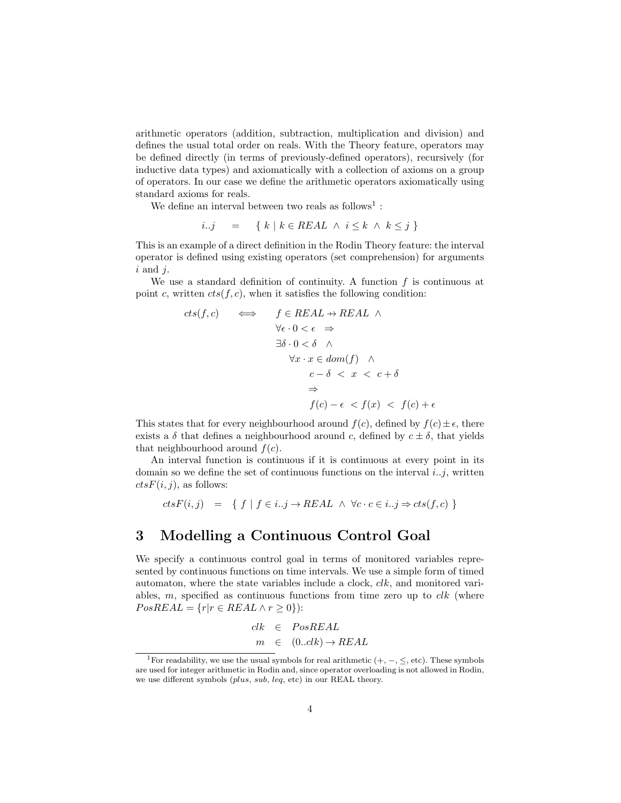arithmetic operators (addition, subtraction, multiplication and division) and defines the usual total order on reals. With the Theory feature, operators may be defined directly (in terms of previously-defined operators), recursively (for inductive data types) and axiomatically with a collection of axioms on a group of operators. In our case we define the arithmetic operators axiomatically using standard axioms for reals.

We define an interval between two reals as  $\text{follows}^1$  :

$$
i..j = \{ k \mid k \in REAL \land i \le k \land k \le j \}
$$

This is an example of a direct definition in the Rodin Theory feature: the interval operator is defined using existing operators (set comprehension) for arguments  $i$  and  $j$ .

We use a standard definition of continuity. A function  $f$  is continuous at point c, written  $cts(f, c)$ , when it satisfies the following condition:

$$
cts(f, c) \iff f \in REAL \to REAL \land
$$
  
\n
$$
\forall \epsilon \cdot 0 < \epsilon \Rightarrow
$$
  
\n
$$
\exists \delta \cdot 0 < \delta \land
$$
  
\n
$$
\forall x \cdot x \in dom(f) \land
$$
  
\n
$$
c - \delta < x < c + \delta
$$
  
\n
$$
\Rightarrow
$$
  
\n
$$
f(c) - \epsilon < f(x) < f(c) + \epsilon
$$

This states that for every neighbourhood around  $f(c)$ , defined by  $f(c) \pm \epsilon$ , there exists a  $\delta$  that defines a neighbourhood around c, defined by  $c \pm \delta$ , that yields that neighbourhood around  $f(c)$ .

An interval function is continuous if it is continuous at every point in its domain so we define the set of continuous functions on the interval  $i..j$ , written  $ctsF(i, j),$  as follows:

$$
ctsF(i,j) = \{ f | f \in i..j \rightarrow REAL \land \forall c \cdot c \in i..j \Rightarrow cts(f,c) \}
$$

#### 3 Modelling a Continuous Control Goal

We specify a continuous control goal in terms of monitored variables represented by continuous functions on time intervals. We use a simple form of timed automaton, where the state variables include a clock,  $clk$ , and monitored variables,  $m$ , specified as continuous functions from time zero up to  $clk$  (where  $PosREAL = \{r|r \in REAL \land r \geq 0\}$ :

$$
clk \in PosREAL
$$
  

$$
m \in (0..clk) \rightarrow REAL
$$

<sup>&</sup>lt;sup>1</sup>For readability, we use the usual symbols for real arithmetic  $(+, -, \leq, etc)$ . These symbols are used for integer arithmetic in Rodin and, since operator overloading is not allowed in Rodin, we use different symbols (plus, sub, leq, etc) in our REAL theory.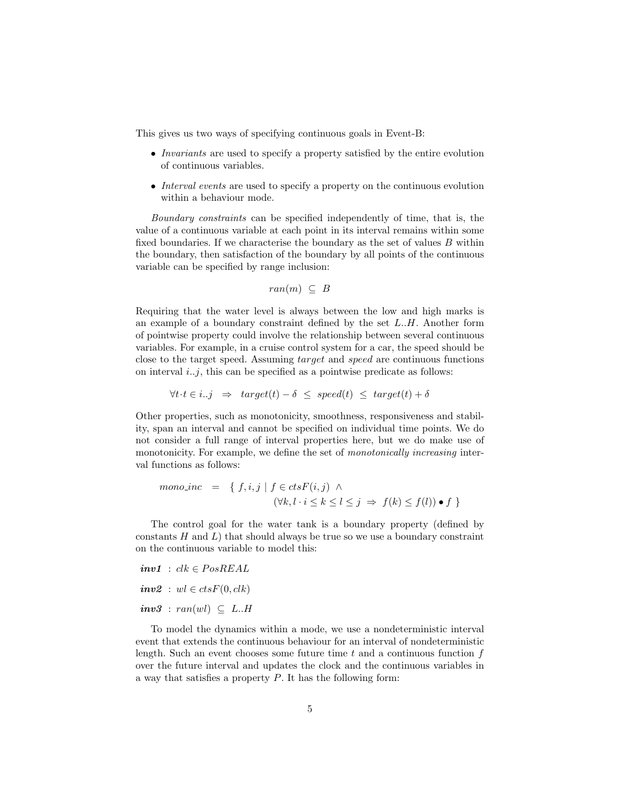This gives us two ways of specifying continuous goals in Event-B:

- Invariants are used to specify a property satisfied by the entire evolution of continuous variables.
- Interval events are used to specify a property on the continuous evolution within a behaviour mode.

Boundary constraints can be specified independently of time, that is, the value of a continuous variable at each point in its interval remains within some fixed boundaries. If we characterise the boundary as the set of values B within the boundary, then satisfaction of the boundary by all points of the continuous variable can be specified by range inclusion:

$$
ran(m) \subseteq B
$$

Requiring that the water level is always between the low and high marks is an example of a boundary constraint defined by the set  $L.H.$  Another form of pointwise property could involve the relationship between several continuous variables. For example, in a cruise control system for a car, the speed should be close to the target speed. Assuming target and speed are continuous functions on interval  $i..j$ , this can be specified as a pointwise predicate as follows:

$$
\forall t \cdot t \in i..j \Rightarrow target(t) - \delta \le speed(t) \le target(t) + \delta
$$

Other properties, such as monotonicity, smoothness, responsiveness and stability, span an interval and cannot be specified on individual time points. We do not consider a full range of interval properties here, but we do make use of monotonicity. For example, we define the set of monotonically increasing interval functions as follows:

$$
mono\_inc = \{ f, i, j \mid f \in ctsF(i, j) \land (\forall k, l \cdot i \le k \le l \le j \implies f(k) \le f(l)) \bullet f \}
$$

The control goal for the water tank is a boundary property (defined by constants  $H$  and  $L$ ) that should always be true so we use a boundary constraint on the continuous variable to model this:

```
inv1 : clk \in PosREALinv2: wl \in ctsF(0, clk)inv3 : ran(wl) \subseteq L.H
```
To model the dynamics within a mode, we use a nondeterministic interval event that extends the continuous behaviour for an interval of nondeterministic length. Such an event chooses some future time  $t$  and a continuous function  $f$ over the future interval and updates the clock and the continuous variables in a way that satisfies a property  $P$ . It has the following form: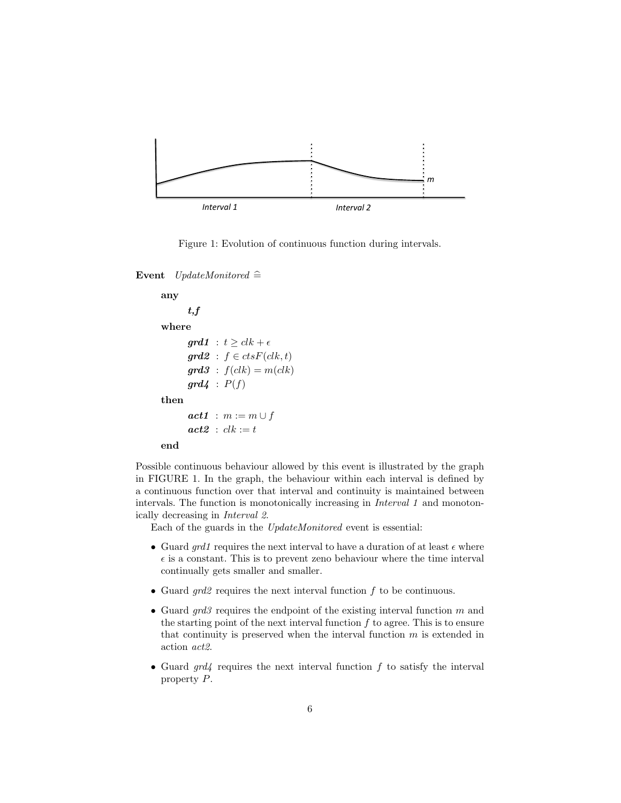

Figure 1: Evolution of continuous function during intervals.

Event UpdateMonitored  $\widehat{=}$ 

```
any
        t,f
where
       \textbf{grd1} : t \geq c l k + \epsilon\textbf{grad2} : f \in \text{ctsF}(\text{clk}, t)grd3: f(clk) = m(clk)grd4 : P(f)then
        \boldsymbol{act1} : m := m \cup fact2 : ck := tend
```
Possible continuous behaviour allowed by this event is illustrated by the graph in FIGURE 1. In the graph, the behaviour within each interval is defined by a continuous function over that interval and continuity is maintained between intervals. The function is monotonically increasing in Interval 1 and monotonically decreasing in Interval 2.

Each of the guards in the UpdateMonitored event is essential:

- Guard grd1 requires the next interval to have a duration of at least  $\epsilon$  where  $\epsilon$  is a constant. This is to prevent zeno behaviour where the time interval continually gets smaller and smaller.
- Guard  $grd2$  requires the next interval function  $f$  to be continuous.
- Guard  $q\eta d\beta$  requires the endpoint of the existing interval function m and the starting point of the next interval function  $f$  to agree. This is to ensure that continuity is preserved when the interval function  $m$  is extended in action act2.
- Guard  $\eta r d_4$  requires the next interval function f to satisfy the interval property P.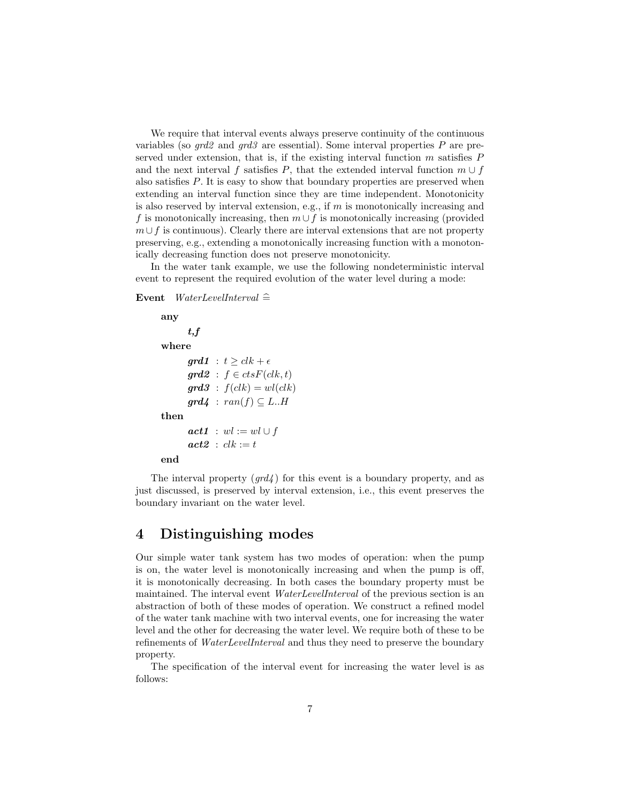We require that interval events always preserve continuity of the continuous variables (so  $grd2$  and  $grd3$  are essential). Some interval properties P are preserved under extension, that is, if the existing interval function  $m$  satisfies  $P$ and the next interval f satisfies P, that the extended interval function  $m \cup f$ also satisfies P. It is easy to show that boundary properties are preserved when extending an interval function since they are time independent. Monotonicity is also reserved by interval extension, e.g., if  $m$  is monotonically increasing and f is monotonically increasing, then  $m \cup f$  is monotonically increasing (provided  $m \cup f$  is continuous). Clearly there are interval extensions that are not property preserving, e.g., extending a monotonically increasing function with a monotonically decreasing function does not preserve monotonicity.

In the water tank example, we use the following nondeterministic interval event to represent the required evolution of the water level during a mode:

#### Event WaterLevelInterval  $\widehat{=}$

```
any
        t,f
where
        \textbf{grd1} : t \geq c l k + \epsilongrd2: f \in ctsF(clk, t)\textbf{grad3} : f(clk) = wl(clk)\text{grad}_4 : \text{ran}(f) \subseteq L.Hthen
        \boldsymbol{act1} : wl := wl \cup fact2 : ck := tend
```
The interval property  $\left(\frac{q r d}{4}\right)$  for this event is a boundary property, and as just discussed, is preserved by interval extension, i.e., this event preserves the boundary invariant on the water level.

# 4 Distinguishing modes

Our simple water tank system has two modes of operation: when the pump is on, the water level is monotonically increasing and when the pump is off, it is monotonically decreasing. In both cases the boundary property must be maintained. The interval event WaterLevelInterval of the previous section is an abstraction of both of these modes of operation. We construct a refined model of the water tank machine with two interval events, one for increasing the water level and the other for decreasing the water level. We require both of these to be refinements of WaterLevelInterval and thus they need to preserve the boundary property.

The specification of the interval event for increasing the water level is as follows: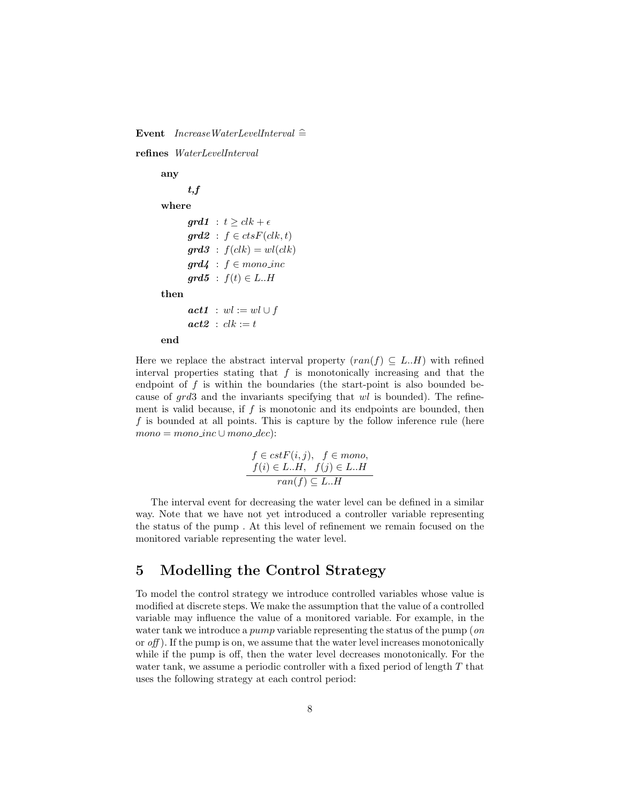Event IncreaseWaterLevelInterval  $\widehat{=}$ 

refines WaterLevelInterval

```
any
       t,f
where
       \textbf{grd1} : t > c l k + \epsilongrd2: f \in ctsF(clk, t)grd3: f(clk) = wl(clk)\text{grad}_4 : f \in mono\text{.}grd5 : f(t) \in L.Hthen
       \boldsymbol{act1} : wl := wl \cup fact2 : ck := t
```

```
end
```
Here we replace the abstract interval property  $(ran(f) \subseteq L.H)$  with refined interval properties stating that  $f$  is monotonically increasing and that the endpoint of  $f$  is within the boundaries (the start-point is also bounded because of  $qrd3$  and the invariants specifying that wl is bounded). The refinement is valid because, if  $f$  is monotonic and its endpoints are bounded, then  $f$  is bounded at all points. This is capture by the follow inference rule (here  $mono = mono\_inc \cup mono\_dec)$ :

$$
f \in cstF(i, j), f \in mono,f(i) \in L.H, f(j) \in L.Hran(f) \subseteq L.H
$$

The interval event for decreasing the water level can be defined in a similar way. Note that we have not yet introduced a controller variable representing the status of the pump . At this level of refinement we remain focused on the monitored variable representing the water level.

# 5 Modelling the Control Strategy

To model the control strategy we introduce controlled variables whose value is modified at discrete steps. We make the assumption that the value of a controlled variable may influence the value of a monitored variable. For example, in the water tank we introduce a *pump* variable representing the status of the pump (*on* or off ). If the pump is on, we assume that the water level increases monotonically while if the pump is off, then the water level decreases monotonically. For the water tank, we assume a periodic controller with a fixed period of length T that uses the following strategy at each control period: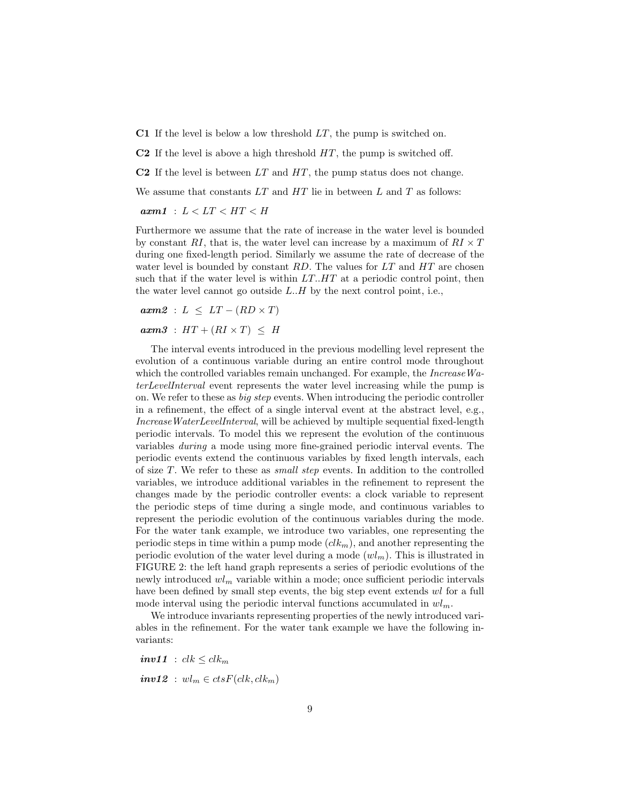C1 If the level is below a low threshold  $LT$ , the pump is switched on.

 $C2$  If the level is above a high threshold  $HT$ , the pump is switched off.

C2 If the level is between  $LT$  and  $HT$ , the pump status does not change.

We assume that constants  $LT$  and  $HT$  lie in between  $L$  and  $T$  as follows:

 $axm1 : L < LT < HT < H$ 

Furthermore we assume that the rate of increase in the water level is bounded by constant RI, that is, the water level can increase by a maximum of  $RI \times T$ during one fixed-length period. Similarly we assume the rate of decrease of the water level is bounded by constant  $RD$ . The values for  $LT$  and  $HT$  are chosen such that if the water level is within  $LT.HT$  at a periodic control point, then the water level cannot go outside  $L.H$  by the next control point, i.e.,

 $axm2 : L \leq LT - (RD \times T)$ 

 $axm3$ :  $HT + (RI \times T) \leq H$ 

The interval events introduced in the previous modelling level represent the evolution of a continuous variable during an entire control mode throughout which the controlled variables remain unchanged. For example, the Increase WaterLevelInterval event represents the water level increasing while the pump is on. We refer to these as big step events. When introducing the periodic controller in a refinement, the effect of a single interval event at the abstract level, e.g., IncreaseWaterLevelInterval, will be achieved by multiple sequential fixed-length periodic intervals. To model this we represent the evolution of the continuous variables during a mode using more fine-grained periodic interval events. The periodic events extend the continuous variables by fixed length intervals, each of size T. We refer to these as small step events. In addition to the controlled variables, we introduce additional variables in the refinement to represent the changes made by the periodic controller events: a clock variable to represent the periodic steps of time during a single mode, and continuous variables to represent the periodic evolution of the continuous variables during the mode. For the water tank example, we introduce two variables, one representing the periodic steps in time within a pump mode  $(clk_m)$ , and another representing the periodic evolution of the water level during a mode  $(wl_m)$ . This is illustrated in FIGURE 2: the left hand graph represents a series of periodic evolutions of the newly introduced  $wl_m$  variable within a mode; once sufficient periodic intervals have been defined by small step events, the big step event extends wl for a full mode interval using the periodic interval functions accumulated in  $wl_m$ .

We introduce invariants representing properties of the newly introduced variables in the refinement. For the water tank example we have the following invariants:

 $inv11$  :  $clk < dk_m$ 

 $inv12$  :  $wl_m \in ctsF(clk, clk_m)$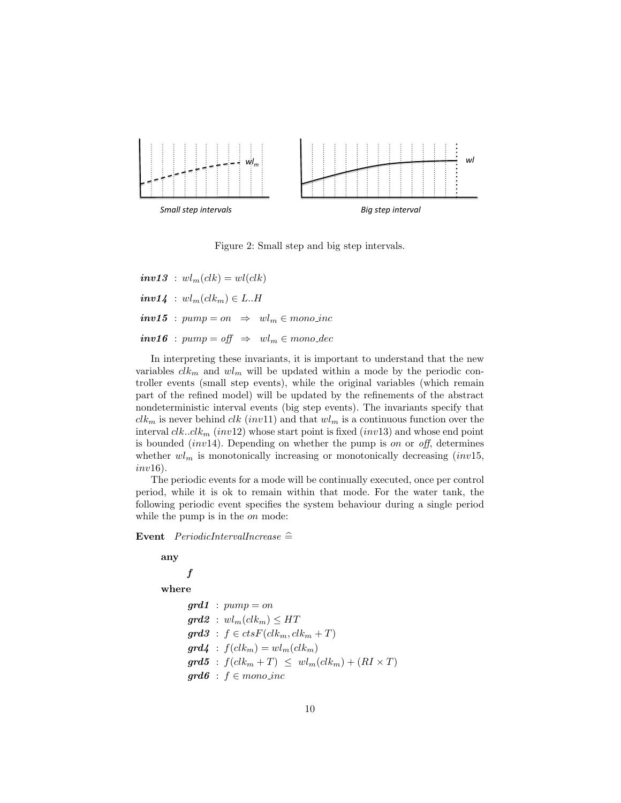

Figure 2: Small step and big step intervals.

 $inv13:$   $wl_m(clk) = wl(clk)$  $inv14 : w l_m (clk_m) \in L.H$  $inv15: pump = on \Rightarrow wh_m \in mono.inc$  $inv16$  :  $pump = off$   $\Rightarrow$   $wl_m \in mono\_dec$ 

In interpreting these invariants, it is important to understand that the new variables  $clk_m$  and  $wl_m$  will be updated within a mode by the periodic controller events (small step events), while the original variables (which remain part of the refined model) will be updated by the refinements of the abstract nondeterministic interval events (big step events). The invariants specify that  $clk_m$  is never behind  $clk$  (inv11) and that  $wl_m$  is a continuous function over the interval  $clk..dk_m$  (inv12) whose start point is fixed (inv13) and whose end point is bounded  $(nv14)$ . Depending on whether the pump is on or off, determines whether  $wl_m$  is monotonically increasing or monotonically decreasing  $(inv15,$ inv16).

The periodic events for a mode will be continually executed, once per control period, while it is ok to remain within that mode. For the water tank, the following periodic event specifies the system behaviour during a single period while the pump is in the *on* mode:

Event PeriodicIntervalIncrease  $\widehat{=}$ 

```
any
       f
where
       grd1: pump = on\textbf{grad2} : w l_m (clk_m) \leq HTgrad3 : f \in ctsF(clk_m, \text{clk}_m + T)\operatorname{grad}_4 : f(clk_m) = w l_m(clk_m)grd5 : f(clk_m + T) \leq w l_m(clk_m) + (RI \times T)grd6: f \in mono\text{.}
```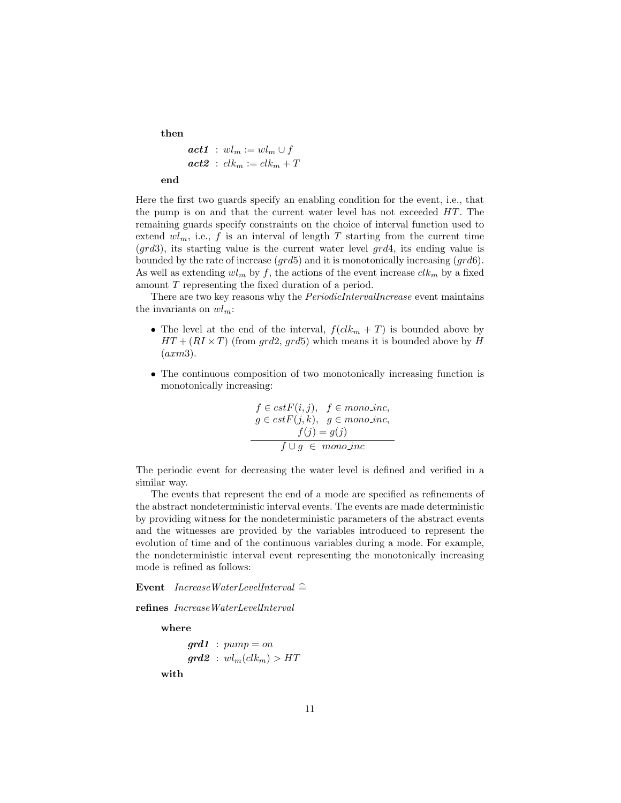```
then
```

```
\boldsymbol{act1} : \boldsymbol{wl_m} := \boldsymbol{wl_m} \cup fact2 : clk_m := clk_m + T
```

```
end
```
Here the first two guards specify an enabling condition for the event, i.e., that the pump is on and that the current water level has not exceeded HT. The remaining guards specify constraints on the choice of interval function used to extend  $wl_m$ , i.e., f is an interval of length T starting from the current time  $(grd3)$ , its starting value is the current water level  $grd4$ , its ending value is bounded by the rate of increase  $(grad5)$  and it is monotonically increasing  $(grad6)$ . As well as extending  $wl_m$  by f, the actions of the event increase  $clk_m$  by a fixed amount T representing the fixed duration of a period.

There are two key reasons why the *PeriodicIntervalIncrease* event maintains the invariants on  $wl_m$ :

- The level at the end of the interval,  $f(clk_m + T)$  is bounded above by  $HT + (RI \times T)$  (from grd2, grd5) which means it is bounded above by H  $(axm3)$ .
- The continuous composition of two monotonically increasing function is monotonically increasing:

$$
f \in cstF(i,j), f \in mono.inc,g \in cstF(j,k), g \in mono.inc,f(j) = g(j)f \cup g \in mono.inc
$$

The periodic event for decreasing the water level is defined and verified in a similar way.

The events that represent the end of a mode are specified as refinements of the abstract nondeterministic interval events. The events are made deterministic by providing witness for the nondeterministic parameters of the abstract events and the witnesses are provided by the variables introduced to represent the evolution of time and of the continuous variables during a mode. For example, the nondeterministic interval event representing the monotonically increasing mode is refined as follows:

Event IncreaseWaterLevelInterval  $\widehat{=}$ 

refines IncreaseWaterLevelInterval

where

```
grd1: pump = ongrd2 : w l_m (clk_m) > HTwith
```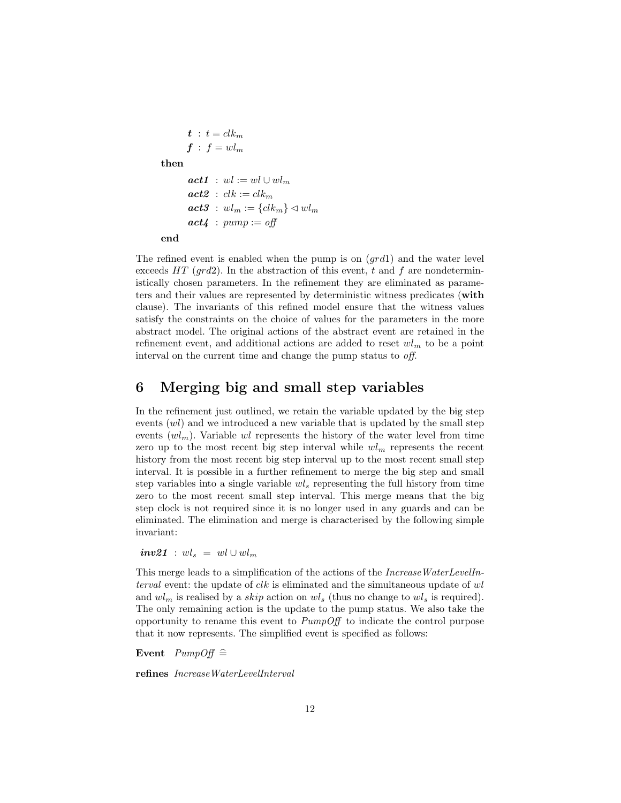```
t : t = c l k_mf : f = w l_mthen
         \boldsymbol{act1} : \boldsymbol{wl} := \boldsymbol{wl} \cup \boldsymbol{wl}_mact2 : ck := ck_mact3 : w l_m := \{ c l k_m \} \triangleleft w l_mact4 : pump := offend
```
The refined event is enabled when the pump is on  $(qrd1)$  and the water level exceeds HT ( $qrd2$ ). In the abstraction of this event, t and f are nondeterministically chosen parameters. In the refinement they are eliminated as parameters and their values are represented by deterministic witness predicates (with clause). The invariants of this refined model ensure that the witness values satisfy the constraints on the choice of values for the parameters in the more abstract model. The original actions of the abstract event are retained in the refinement event, and additional actions are added to reset  $wl<sub>m</sub>$  to be a point interval on the current time and change the pump status to off.

#### 6 Merging big and small step variables

In the refinement just outlined, we retain the variable updated by the big step events  $(wl)$  and we introduced a new variable that is updated by the small step events  $(wl_m)$ . Variable wl represents the history of the water level from time zero up to the most recent big step interval while  $wl_m$  represents the recent history from the most recent big step interval up to the most recent small step interval. It is possible in a further refinement to merge the big step and small step variables into a single variable  $wl_s$  representing the full history from time zero to the most recent small step interval. This merge means that the big step clock is not required since it is no longer used in any guards and can be eliminated. The elimination and merge is characterised by the following simple invariant:

 $inv21$  :  $wl_s =wl \cup wh_m$ 

This merge leads to a simplification of the actions of the *IncreaseWaterLevelIn*terval event: the update of  $clk$  is eliminated and the simultaneous update of  $wl$ and  $wl_m$  is realised by a *skip* action on  $wl_s$  (thus no change to  $wl_s$  is required). The only remaining action is the update to the pump status. We also take the opportunity to rename this event to  $PumpOff$  to indicate the control purpose that it now represents. The simplified event is specified as follows:

Event  $PumpOff \hat{=}$ 

refines IncreaseWaterLevelInterval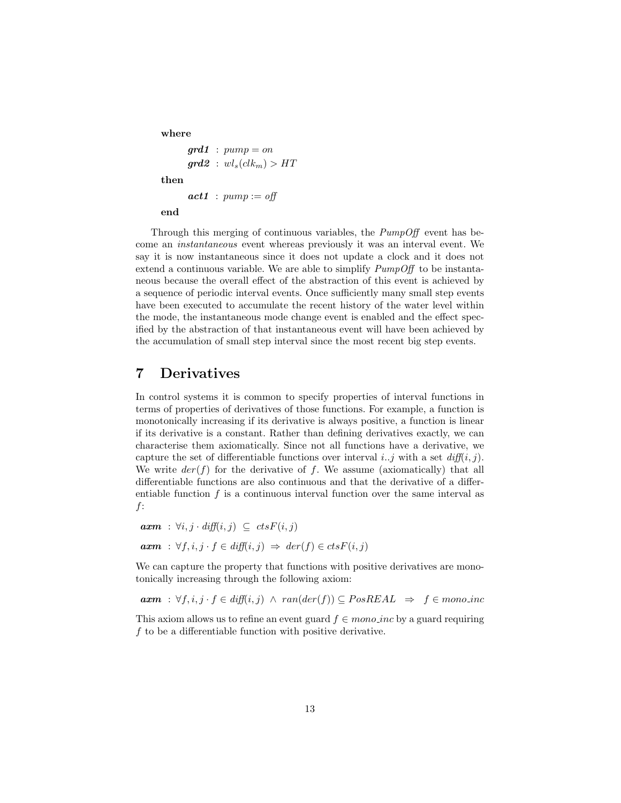where

```
\textit{grd1} : \textit{pump} = \textit{on}grd2: wl_s(clk_m) > HTthen
        \textbf{act1} : pump := off
```
end

Through this merging of continuous variables, the  $PumpOff$  event has become an instantaneous event whereas previously it was an interval event. We say it is now instantaneous since it does not update a clock and it does not extend a continuous variable. We are able to simplify  $PumpOff$  to be instantaneous because the overall effect of the abstraction of this event is achieved by a sequence of periodic interval events. Once sufficiently many small step events have been executed to accumulate the recent history of the water level within the mode, the instantaneous mode change event is enabled and the effect specified by the abstraction of that instantaneous event will have been achieved by the accumulation of small step interval since the most recent big step events.

### 7 Derivatives

In control systems it is common to specify properties of interval functions in terms of properties of derivatives of those functions. For example, a function is monotonically increasing if its derivative is always positive, a function is linear if its derivative is a constant. Rather than defining derivatives exactly, we can characterise them axiomatically. Since not all functions have a derivative, we capture the set of differentiable functions over interval *i..j* with a set  $diff(i, j)$ . We write  $der(f)$  for the derivative of f. We assume (axiomatically) that all differentiable functions are also continuous and that the derivative of a differentiable function  $f$  is a continuous interval function over the same interval as f:

 $axm : \forall i, j \cdot \textit{diff}(i, j) \subseteq \textit{ctsF}(i, j)$ 

 $axm : \forall f, i, j \cdot f \in \textit{diff}(i, j) \Rightarrow \textit{der}(f) \in \textit{ctsF}(i, j)$ 

We can capture the property that functions with positive derivatives are monotonically increasing through the following axiom:

 $axm : \forall f, i, j \cdot f \in diff(i, j) \land ran(det(f)) \subseteq PosREAL \Rightarrow f \in mono_incl$ 

This axiom allows us to refine an event guard  $f \in mono\text{-}inc$  by a guard requiring f to be a differentiable function with positive derivative.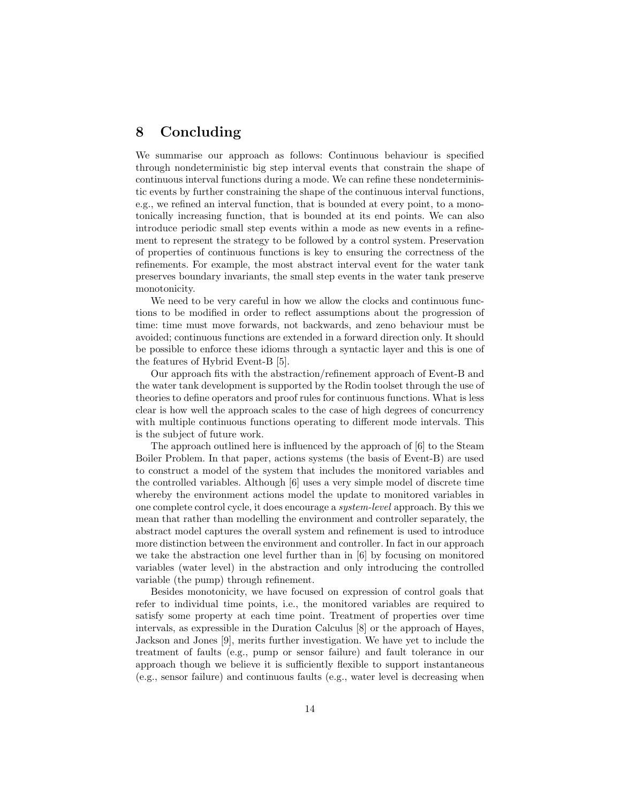# 8 Concluding

We summarise our approach as follows: Continuous behaviour is specified through nondeterministic big step interval events that constrain the shape of continuous interval functions during a mode. We can refine these nondeterministic events by further constraining the shape of the continuous interval functions, e.g., we refined an interval function, that is bounded at every point, to a monotonically increasing function, that is bounded at its end points. We can also introduce periodic small step events within a mode as new events in a refinement to represent the strategy to be followed by a control system. Preservation of properties of continuous functions is key to ensuring the correctness of the refinements. For example, the most abstract interval event for the water tank preserves boundary invariants, the small step events in the water tank preserve monotonicity.

We need to be very careful in how we allow the clocks and continuous functions to be modified in order to reflect assumptions about the progression of time: time must move forwards, not backwards, and zeno behaviour must be avoided; continuous functions are extended in a forward direction only. It should be possible to enforce these idioms through a syntactic layer and this is one of the features of Hybrid Event-B [5].

Our approach fits with the abstraction/refinement approach of Event-B and the water tank development is supported by the Rodin toolset through the use of theories to define operators and proof rules for continuous functions. What is less clear is how well the approach scales to the case of high degrees of concurrency with multiple continuous functions operating to different mode intervals. This is the subject of future work.

The approach outlined here is influenced by the approach of [6] to the Steam Boiler Problem. In that paper, actions systems (the basis of Event-B) are used to construct a model of the system that includes the monitored variables and the controlled variables. Although [6] uses a very simple model of discrete time whereby the environment actions model the update to monitored variables in one complete control cycle, it does encourage a system-level approach. By this we mean that rather than modelling the environment and controller separately, the abstract model captures the overall system and refinement is used to introduce more distinction between the environment and controller. In fact in our approach we take the abstraction one level further than in [6] by focusing on monitored variables (water level) in the abstraction and only introducing the controlled variable (the pump) through refinement.

Besides monotonicity, we have focused on expression of control goals that refer to individual time points, i.e., the monitored variables are required to satisfy some property at each time point. Treatment of properties over time intervals, as expressible in the Duration Calculus [8] or the approach of Hayes, Jackson and Jones [9], merits further investigation. We have yet to include the treatment of faults (e.g., pump or sensor failure) and fault tolerance in our approach though we believe it is sufficiently flexible to support instantaneous (e.g., sensor failure) and continuous faults (e.g., water level is decreasing when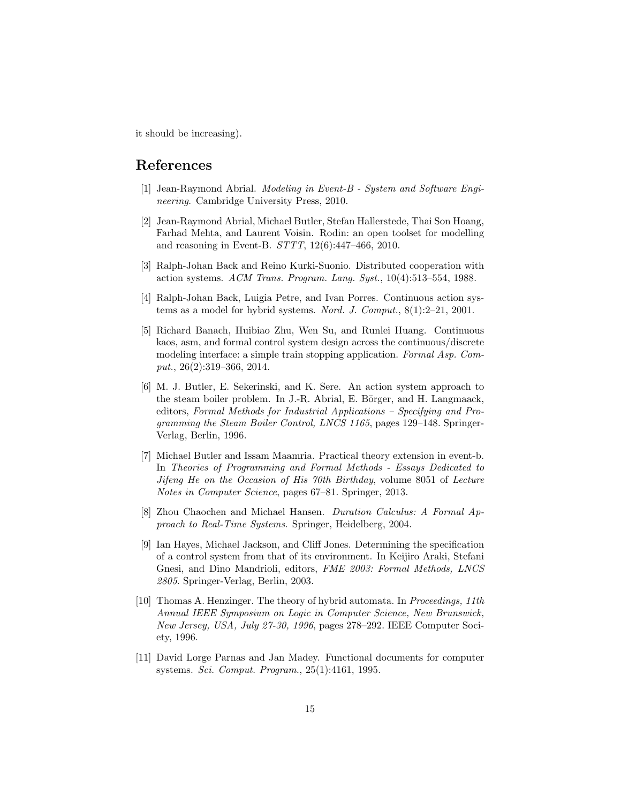it should be increasing).

### References

- [1] Jean-Raymond Abrial. Modeling in Event-B System and Software Engineering. Cambridge University Press, 2010.
- [2] Jean-Raymond Abrial, Michael Butler, Stefan Hallerstede, Thai Son Hoang, Farhad Mehta, and Laurent Voisin. Rodin: an open toolset for modelling and reasoning in Event-B. STTT, 12(6):447–466, 2010.
- [3] Ralph-Johan Back and Reino Kurki-Suonio. Distributed cooperation with action systems. ACM Trans. Program. Lang. Syst., 10(4):513–554, 1988.
- [4] Ralph-Johan Back, Luigia Petre, and Ivan Porres. Continuous action systems as a model for hybrid systems. *Nord. J. Comput.*,  $8(1):2-21$ ,  $2001$ .
- [5] Richard Banach, Huibiao Zhu, Wen Su, and Runlei Huang. Continuous kaos, asm, and formal control system design across the continuous/discrete modeling interface: a simple train stopping application. Formal Asp. Comput., 26(2):319–366, 2014.
- [6] M. J. Butler, E. Sekerinski, and K. Sere. An action system approach to the steam boiler problem. In J.-R. Abrial, E. Börger, and H. Langmaack, editors, Formal Methods for Industrial Applications – Specifying and Programming the Steam Boiler Control, LNCS 1165, pages 129–148. Springer-Verlag, Berlin, 1996.
- [7] Michael Butler and Issam Maamria. Practical theory extension in event-b. In Theories of Programming and Formal Methods - Essays Dedicated to Jifeng He on the Occasion of His 70th Birthday, volume 8051 of Lecture Notes in Computer Science, pages 67–81. Springer, 2013.
- [8] Zhou Chaochen and Michael Hansen. Duration Calculus: A Formal Approach to Real-Time Systems. Springer, Heidelberg, 2004.
- [9] Ian Hayes, Michael Jackson, and Cliff Jones. Determining the specification of a control system from that of its environment. In Keijiro Araki, Stefani Gnesi, and Dino Mandrioli, editors, FME 2003: Formal Methods, LNCS 2805. Springer-Verlag, Berlin, 2003.
- [10] Thomas A. Henzinger. The theory of hybrid automata. In Proceedings, 11th Annual IEEE Symposium on Logic in Computer Science, New Brunswick, New Jersey, USA, July 27-30, 1996, pages 278–292. IEEE Computer Society, 1996.
- [11] David Lorge Parnas and Jan Madey. Functional documents for computer systems. Sci. Comput. Program., 25(1):4161, 1995.